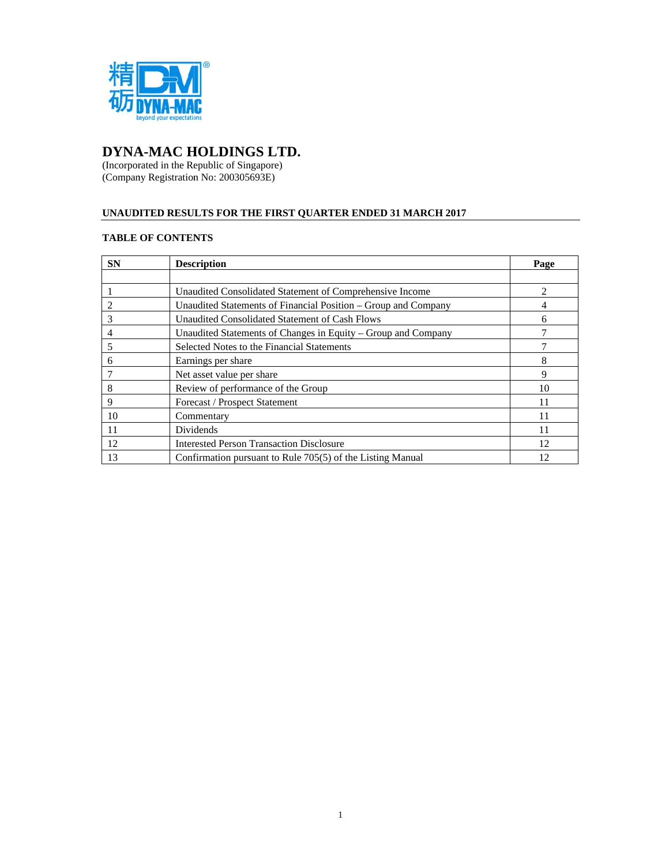

#### **DYNA A-MAC H HOLDING GS LTD.**

(Incorpor (Compan rated in the Re ny Registration epublic of Sin n No: 200305 ngapore) 693E)

# UNAUDITED RESULTS FOR THE FIRST QUARTER ENDED 31 MARCH 2017

# **TABLE OF CONTENTS**

| <b>SN</b> | <b>Description</b>                                             | Page |
|-----------|----------------------------------------------------------------|------|
|           |                                                                |      |
|           | Unaudited Consolidated Statement of Comprehensive Income       |      |
|           | Unaudited Statements of Financial Position – Group and Company |      |
| 3         | Unaudited Consolidated Statement of Cash Flows                 | h    |
|           | Unaudited Statements of Changes in Equity - Group and Company  |      |
|           | Selected Notes to the Financial Statements                     |      |
| 6         | Earnings per share                                             | 8    |
|           | Net asset value per share                                      | 9    |
| 8         | Review of performance of the Group                             | 10   |
| 9         | Forecast / Prospect Statement                                  | 11   |
| 10        | Commentary                                                     | 11   |
| 11        | Dividends                                                      | 11   |
| 12        | <b>Interested Person Transaction Disclosure</b>                | 12   |
| 13        | Confirmation pursuant to Rule 705(5) of the Listing Manual     | 12   |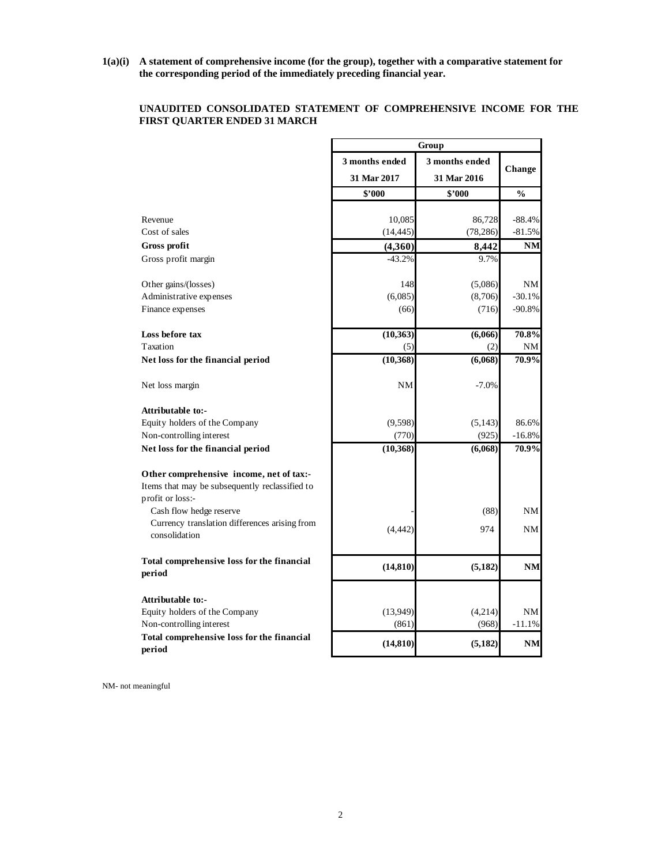**1(a)(i) A statement of comprehensive income (for the group), together with a comparative statement for the corresponding period of the immediately preceding financial year.** 

# **UNAUDITED CONSOLIDATED STATEMENT OF COMPREHENSIVE INCOME FOR THE FIRST QUARTER ENDED 31 MARCH**

|                                                                | Group          |                |               |  |
|----------------------------------------------------------------|----------------|----------------|---------------|--|
|                                                                | 3 months ended | 3 months ended | Change        |  |
|                                                                | 31 Mar 2017    | 31 Mar 2016    |               |  |
|                                                                | \$2000         | \$2000         | $\frac{0}{0}$ |  |
|                                                                |                |                |               |  |
| Revenue                                                        | 10,085         | 86,728         | $-88.4%$      |  |
| Cost of sales                                                  | (14, 445)      | (78, 286)      | $-81.5%$      |  |
| Gross profit                                                   | (4,360)        | 8,442          | <b>NM</b>     |  |
| Gross profit margin                                            | $-43.2%$       | 9.7%           |               |  |
| Other gains/(losses)                                           | 148            | (5,086)        | NM            |  |
| Administrative expenses                                        | (6,085)        | (8,706)        | $-30.1%$      |  |
| Finance expenses                                               | (66)           | (716)          | $-90.8%$      |  |
| Loss before tax                                                | (10, 363)      | (6,066)        | 70.8%         |  |
| Taxation                                                       | (5)            | (2)            | NΜ            |  |
| Net loss for the financial period                              | (10, 368)      | (6,068)        | 70.9%         |  |
| Net loss margin                                                | <b>NM</b>      | $-7.0%$        |               |  |
| Attributable to:-                                              |                |                |               |  |
| Equity holders of the Company                                  | (9, 598)       | (5, 143)       | 86.6%         |  |
| Non-controlling interest                                       | (770)          | (925)          | $-16.8%$      |  |
| Net loss for the financial period                              | (10, 368)      | (6,068)        | 70.9%         |  |
| Other comprehensive income, net of tax:-                       |                |                |               |  |
| Items that may be subsequently reclassified to                 |                |                |               |  |
| profit or loss:-                                               |                |                |               |  |
| Cash flow hedge reserve                                        |                | (88)           | NM            |  |
| Currency translation differences arising from<br>consolidation | (4, 442)       | 974            | NM            |  |
|                                                                |                |                |               |  |
| Total comprehensive loss for the financial<br>period           | (14, 810)      | (5, 182)       | <b>NM</b>     |  |
| <b>Attributable to:-</b>                                       |                |                |               |  |
| Equity holders of the Company                                  | (13,949)       | (4,214)        | NM            |  |
| Non-controlling interest                                       | (861)          | (968)          | $-11.1%$      |  |
| Total comprehensive loss for the financial<br>period           | (14, 810)      | (5,182)        | NM            |  |
|                                                                |                |                |               |  |

NM- not meaningful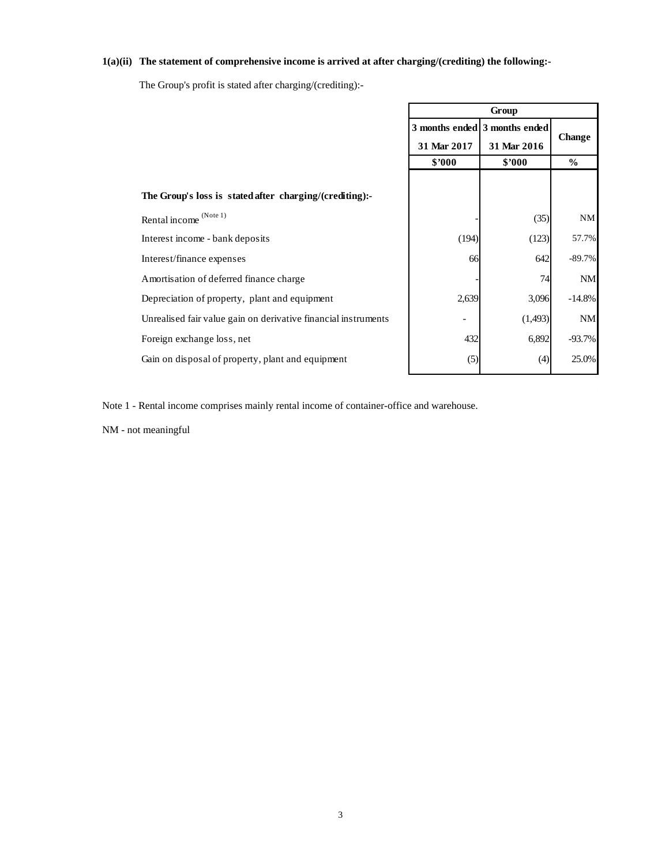# **1(a)(ii) The statement of comprehensive income is arrived at after charging/(crediting) the following:-**

The Group's profit is stated after charging/(crediting):-

|                                                                | Group       |                               |               |
|----------------------------------------------------------------|-------------|-------------------------------|---------------|
|                                                                |             | 3 months ended 3 months ended | Change        |
|                                                                | 31 Mar 2017 | 31 Mar 2016                   |               |
|                                                                | \$3000      | \$3000                        | $\frac{6}{6}$ |
| The Group's loss is stated after charging/(crediting):-        |             |                               |               |
| Rental income (Note 1)                                         |             | (35)                          | NM            |
| Interest income - bank deposits                                | (194)       | (123)                         | 57.7%         |
| Interest/finance expenses                                      | 66          | 642                           | $-89.7%$      |
| Amortisation of deferred finance charge                        |             | 74                            | <b>NM</b>     |
| Depreciation of property, plant and equipment                  | 2,639       | 3,096                         | $-14.8%$      |
| Unrealised fair value gain on derivative financial instruments |             | (1,493)                       | <b>NM</b>     |
| Foreign exchange loss, net                                     | 432         | 6,892                         | $-93.7%$      |
| Gain on disposal of property, plant and equipment              | (5)         | (4)                           | 25.0%         |

Note 1 - Rental income comprises mainly rental income of container-office and warehouse.

NM - not meaningful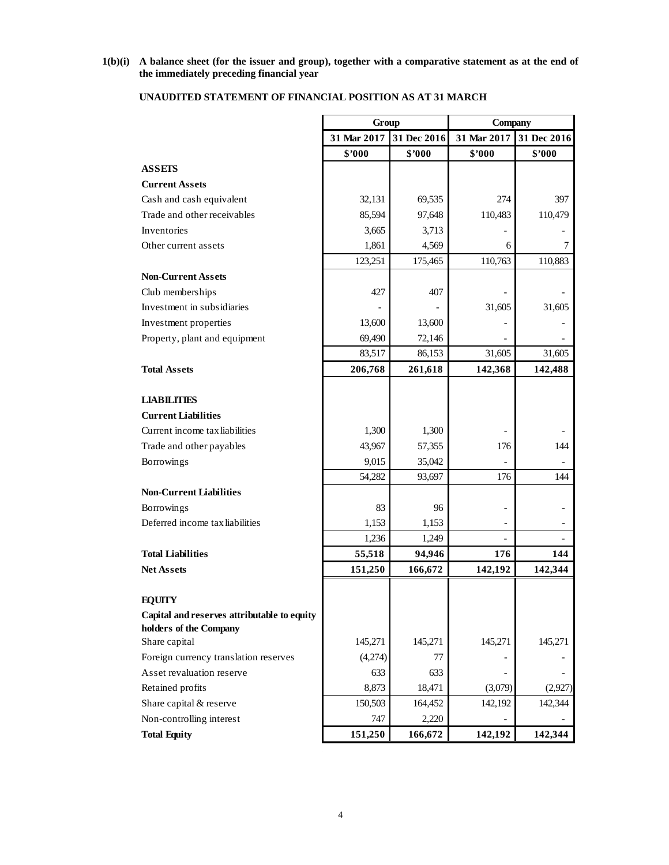# **1(b)(i) A balance sheet (for the issuer and group), together with a comparative statement as at the end of the immediately preceding financial year**

| 31 Mar 2017<br>31 Dec 2016<br>31 Mar 2017<br>31 Dec 2016<br>\$'000<br>\$2000<br>\$2000<br>\$'000<br><b>ASSETS</b><br><b>Current Assets</b><br>Cash and cash equivalent<br>32,131<br>69,535<br>274<br>397<br>Trade and other receivables<br>85,594<br>97,648<br>110,483<br>110,479<br>Inventories<br>3,665<br>3,713<br>1,861<br>4,569<br>6<br>7<br>Other current assets<br>123,251<br>110,763<br>110,883<br>175,465<br><b>Non-Current Assets</b><br>427<br>407<br>Club memberships<br>Investment in subsidiaries<br>31,605<br>31,605<br>Investment properties<br>13,600<br>13,600<br>Property, plant and equipment<br>69,490<br>72,146<br>86,153<br>83,517<br>31,605<br>31,605<br><b>Total Assets</b><br>206,768<br>261,618<br>142,368<br>142,488<br><b>LIABILITIES</b><br><b>Current Liabilities</b><br>Current income tax liabilities<br>1,300<br>1,300<br>43,967<br>Trade and other payables<br>57,355<br>176<br>144<br>9,015<br>35,042<br>Borrowings<br>176<br>54,282<br>93,697<br>144<br><b>Non-Current Liabilities</b><br>83<br>Borrowings<br>96<br>Deferred income tax liabilities<br>1,153<br>1,153<br>-<br>1,236<br>1,249<br>$\overline{\phantom{0}}$<br>94,946<br>176<br><b>Total Liabilities</b><br>55,518<br>144<br><b>Net Assets</b><br>151,250<br>166,672<br>142,192<br>142,344<br><b>EQUITY</b><br>Capital and reserves attributable to equity<br>holders of the Company<br>Share capital<br>145,271<br>145,271<br>145,271<br>145,271<br>Foreign currency translation reserves<br>(4,274)<br>77<br>Asset revaluation reserve<br>633<br>633<br>Retained profits<br>8,873<br>18,471<br>(2,927)<br>(3,079)<br>Share capital & reserve<br>150,503<br>164,452<br>142,344<br>142,192<br>Non-controlling interest<br>747<br>2,220 |                     | Group   |         | Company |         |
|------------------------------------------------------------------------------------------------------------------------------------------------------------------------------------------------------------------------------------------------------------------------------------------------------------------------------------------------------------------------------------------------------------------------------------------------------------------------------------------------------------------------------------------------------------------------------------------------------------------------------------------------------------------------------------------------------------------------------------------------------------------------------------------------------------------------------------------------------------------------------------------------------------------------------------------------------------------------------------------------------------------------------------------------------------------------------------------------------------------------------------------------------------------------------------------------------------------------------------------------------------------------------------------------------------------------------------------------------------------------------------------------------------------------------------------------------------------------------------------------------------------------------------------------------------------------------------------------------------------------------------------------------------------------------------------------------------------------------------------|---------------------|---------|---------|---------|---------|
|                                                                                                                                                                                                                                                                                                                                                                                                                                                                                                                                                                                                                                                                                                                                                                                                                                                                                                                                                                                                                                                                                                                                                                                                                                                                                                                                                                                                                                                                                                                                                                                                                                                                                                                                          |                     |         |         |         |         |
|                                                                                                                                                                                                                                                                                                                                                                                                                                                                                                                                                                                                                                                                                                                                                                                                                                                                                                                                                                                                                                                                                                                                                                                                                                                                                                                                                                                                                                                                                                                                                                                                                                                                                                                                          |                     |         |         |         |         |
|                                                                                                                                                                                                                                                                                                                                                                                                                                                                                                                                                                                                                                                                                                                                                                                                                                                                                                                                                                                                                                                                                                                                                                                                                                                                                                                                                                                                                                                                                                                                                                                                                                                                                                                                          |                     |         |         |         |         |
|                                                                                                                                                                                                                                                                                                                                                                                                                                                                                                                                                                                                                                                                                                                                                                                                                                                                                                                                                                                                                                                                                                                                                                                                                                                                                                                                                                                                                                                                                                                                                                                                                                                                                                                                          |                     |         |         |         |         |
|                                                                                                                                                                                                                                                                                                                                                                                                                                                                                                                                                                                                                                                                                                                                                                                                                                                                                                                                                                                                                                                                                                                                                                                                                                                                                                                                                                                                                                                                                                                                                                                                                                                                                                                                          |                     |         |         |         |         |
|                                                                                                                                                                                                                                                                                                                                                                                                                                                                                                                                                                                                                                                                                                                                                                                                                                                                                                                                                                                                                                                                                                                                                                                                                                                                                                                                                                                                                                                                                                                                                                                                                                                                                                                                          |                     |         |         |         |         |
|                                                                                                                                                                                                                                                                                                                                                                                                                                                                                                                                                                                                                                                                                                                                                                                                                                                                                                                                                                                                                                                                                                                                                                                                                                                                                                                                                                                                                                                                                                                                                                                                                                                                                                                                          |                     |         |         |         |         |
|                                                                                                                                                                                                                                                                                                                                                                                                                                                                                                                                                                                                                                                                                                                                                                                                                                                                                                                                                                                                                                                                                                                                                                                                                                                                                                                                                                                                                                                                                                                                                                                                                                                                                                                                          |                     |         |         |         |         |
|                                                                                                                                                                                                                                                                                                                                                                                                                                                                                                                                                                                                                                                                                                                                                                                                                                                                                                                                                                                                                                                                                                                                                                                                                                                                                                                                                                                                                                                                                                                                                                                                                                                                                                                                          |                     |         |         |         |         |
|                                                                                                                                                                                                                                                                                                                                                                                                                                                                                                                                                                                                                                                                                                                                                                                                                                                                                                                                                                                                                                                                                                                                                                                                                                                                                                                                                                                                                                                                                                                                                                                                                                                                                                                                          |                     |         |         |         |         |
|                                                                                                                                                                                                                                                                                                                                                                                                                                                                                                                                                                                                                                                                                                                                                                                                                                                                                                                                                                                                                                                                                                                                                                                                                                                                                                                                                                                                                                                                                                                                                                                                                                                                                                                                          |                     |         |         |         |         |
|                                                                                                                                                                                                                                                                                                                                                                                                                                                                                                                                                                                                                                                                                                                                                                                                                                                                                                                                                                                                                                                                                                                                                                                                                                                                                                                                                                                                                                                                                                                                                                                                                                                                                                                                          |                     |         |         |         |         |
|                                                                                                                                                                                                                                                                                                                                                                                                                                                                                                                                                                                                                                                                                                                                                                                                                                                                                                                                                                                                                                                                                                                                                                                                                                                                                                                                                                                                                                                                                                                                                                                                                                                                                                                                          |                     |         |         |         |         |
|                                                                                                                                                                                                                                                                                                                                                                                                                                                                                                                                                                                                                                                                                                                                                                                                                                                                                                                                                                                                                                                                                                                                                                                                                                                                                                                                                                                                                                                                                                                                                                                                                                                                                                                                          |                     |         |         |         |         |
|                                                                                                                                                                                                                                                                                                                                                                                                                                                                                                                                                                                                                                                                                                                                                                                                                                                                                                                                                                                                                                                                                                                                                                                                                                                                                                                                                                                                                                                                                                                                                                                                                                                                                                                                          |                     |         |         |         |         |
|                                                                                                                                                                                                                                                                                                                                                                                                                                                                                                                                                                                                                                                                                                                                                                                                                                                                                                                                                                                                                                                                                                                                                                                                                                                                                                                                                                                                                                                                                                                                                                                                                                                                                                                                          |                     |         |         |         |         |
|                                                                                                                                                                                                                                                                                                                                                                                                                                                                                                                                                                                                                                                                                                                                                                                                                                                                                                                                                                                                                                                                                                                                                                                                                                                                                                                                                                                                                                                                                                                                                                                                                                                                                                                                          |                     |         |         |         |         |
|                                                                                                                                                                                                                                                                                                                                                                                                                                                                                                                                                                                                                                                                                                                                                                                                                                                                                                                                                                                                                                                                                                                                                                                                                                                                                                                                                                                                                                                                                                                                                                                                                                                                                                                                          |                     |         |         |         |         |
|                                                                                                                                                                                                                                                                                                                                                                                                                                                                                                                                                                                                                                                                                                                                                                                                                                                                                                                                                                                                                                                                                                                                                                                                                                                                                                                                                                                                                                                                                                                                                                                                                                                                                                                                          |                     |         |         |         |         |
|                                                                                                                                                                                                                                                                                                                                                                                                                                                                                                                                                                                                                                                                                                                                                                                                                                                                                                                                                                                                                                                                                                                                                                                                                                                                                                                                                                                                                                                                                                                                                                                                                                                                                                                                          |                     |         |         |         |         |
|                                                                                                                                                                                                                                                                                                                                                                                                                                                                                                                                                                                                                                                                                                                                                                                                                                                                                                                                                                                                                                                                                                                                                                                                                                                                                                                                                                                                                                                                                                                                                                                                                                                                                                                                          |                     |         |         |         |         |
|                                                                                                                                                                                                                                                                                                                                                                                                                                                                                                                                                                                                                                                                                                                                                                                                                                                                                                                                                                                                                                                                                                                                                                                                                                                                                                                                                                                                                                                                                                                                                                                                                                                                                                                                          |                     |         |         |         |         |
|                                                                                                                                                                                                                                                                                                                                                                                                                                                                                                                                                                                                                                                                                                                                                                                                                                                                                                                                                                                                                                                                                                                                                                                                                                                                                                                                                                                                                                                                                                                                                                                                                                                                                                                                          |                     |         |         |         |         |
|                                                                                                                                                                                                                                                                                                                                                                                                                                                                                                                                                                                                                                                                                                                                                                                                                                                                                                                                                                                                                                                                                                                                                                                                                                                                                                                                                                                                                                                                                                                                                                                                                                                                                                                                          |                     |         |         |         |         |
|                                                                                                                                                                                                                                                                                                                                                                                                                                                                                                                                                                                                                                                                                                                                                                                                                                                                                                                                                                                                                                                                                                                                                                                                                                                                                                                                                                                                                                                                                                                                                                                                                                                                                                                                          |                     |         |         |         |         |
|                                                                                                                                                                                                                                                                                                                                                                                                                                                                                                                                                                                                                                                                                                                                                                                                                                                                                                                                                                                                                                                                                                                                                                                                                                                                                                                                                                                                                                                                                                                                                                                                                                                                                                                                          |                     |         |         |         |         |
|                                                                                                                                                                                                                                                                                                                                                                                                                                                                                                                                                                                                                                                                                                                                                                                                                                                                                                                                                                                                                                                                                                                                                                                                                                                                                                                                                                                                                                                                                                                                                                                                                                                                                                                                          |                     |         |         |         |         |
|                                                                                                                                                                                                                                                                                                                                                                                                                                                                                                                                                                                                                                                                                                                                                                                                                                                                                                                                                                                                                                                                                                                                                                                                                                                                                                                                                                                                                                                                                                                                                                                                                                                                                                                                          |                     |         |         |         |         |
|                                                                                                                                                                                                                                                                                                                                                                                                                                                                                                                                                                                                                                                                                                                                                                                                                                                                                                                                                                                                                                                                                                                                                                                                                                                                                                                                                                                                                                                                                                                                                                                                                                                                                                                                          |                     |         |         |         |         |
|                                                                                                                                                                                                                                                                                                                                                                                                                                                                                                                                                                                                                                                                                                                                                                                                                                                                                                                                                                                                                                                                                                                                                                                                                                                                                                                                                                                                                                                                                                                                                                                                                                                                                                                                          |                     |         |         |         |         |
|                                                                                                                                                                                                                                                                                                                                                                                                                                                                                                                                                                                                                                                                                                                                                                                                                                                                                                                                                                                                                                                                                                                                                                                                                                                                                                                                                                                                                                                                                                                                                                                                                                                                                                                                          |                     |         |         |         |         |
|                                                                                                                                                                                                                                                                                                                                                                                                                                                                                                                                                                                                                                                                                                                                                                                                                                                                                                                                                                                                                                                                                                                                                                                                                                                                                                                                                                                                                                                                                                                                                                                                                                                                                                                                          |                     |         |         |         |         |
|                                                                                                                                                                                                                                                                                                                                                                                                                                                                                                                                                                                                                                                                                                                                                                                                                                                                                                                                                                                                                                                                                                                                                                                                                                                                                                                                                                                                                                                                                                                                                                                                                                                                                                                                          |                     |         |         |         |         |
|                                                                                                                                                                                                                                                                                                                                                                                                                                                                                                                                                                                                                                                                                                                                                                                                                                                                                                                                                                                                                                                                                                                                                                                                                                                                                                                                                                                                                                                                                                                                                                                                                                                                                                                                          |                     |         |         |         |         |
|                                                                                                                                                                                                                                                                                                                                                                                                                                                                                                                                                                                                                                                                                                                                                                                                                                                                                                                                                                                                                                                                                                                                                                                                                                                                                                                                                                                                                                                                                                                                                                                                                                                                                                                                          |                     |         |         |         |         |
|                                                                                                                                                                                                                                                                                                                                                                                                                                                                                                                                                                                                                                                                                                                                                                                                                                                                                                                                                                                                                                                                                                                                                                                                                                                                                                                                                                                                                                                                                                                                                                                                                                                                                                                                          |                     |         |         |         |         |
|                                                                                                                                                                                                                                                                                                                                                                                                                                                                                                                                                                                                                                                                                                                                                                                                                                                                                                                                                                                                                                                                                                                                                                                                                                                                                                                                                                                                                                                                                                                                                                                                                                                                                                                                          |                     |         |         |         |         |
|                                                                                                                                                                                                                                                                                                                                                                                                                                                                                                                                                                                                                                                                                                                                                                                                                                                                                                                                                                                                                                                                                                                                                                                                                                                                                                                                                                                                                                                                                                                                                                                                                                                                                                                                          |                     |         |         |         |         |
|                                                                                                                                                                                                                                                                                                                                                                                                                                                                                                                                                                                                                                                                                                                                                                                                                                                                                                                                                                                                                                                                                                                                                                                                                                                                                                                                                                                                                                                                                                                                                                                                                                                                                                                                          | <b>Total Equity</b> | 151,250 | 166,672 | 142,192 | 142,344 |

# **UNAUDITED STATEMENT OF FINANCIAL POSITION AS AT 31 MARCH**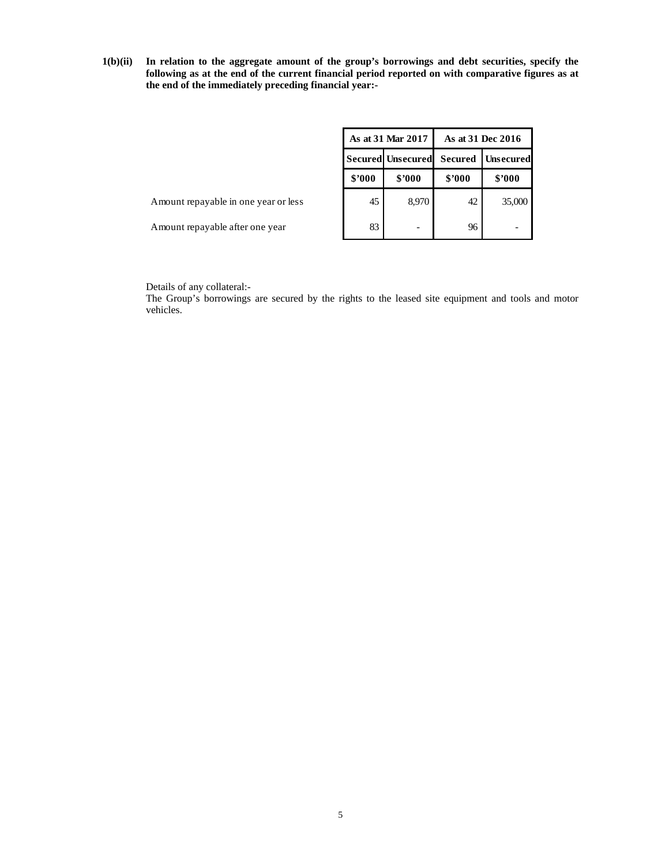**1(b)(ii) In relation to the aggregate amount of the group's borrowings and debt securities, specify the following as at the end of the current financial period reported on with comparative figures as at the end of the immediately preceding financial year:-** 

|                                      |        | As at 31 Mar 2017        |        | As at 31 Dec 2016        |  |  |
|--------------------------------------|--------|--------------------------|--------|--------------------------|--|--|
|                                      |        | <b>Secured Unsecured</b> |        | <b>Secured Unsecured</b> |  |  |
|                                      | \$2000 | \$2000                   | \$2000 | \$2000                   |  |  |
| Amount repayable in one year or less | 45     | 8,970                    | 42     | 35,000                   |  |  |
| Amount repayable after one year      | 83     |                          | 96     |                          |  |  |

Details of any collateral:-

The Group's borrowings are secured by the rights to the leased site equipment and tools and motor vehicles.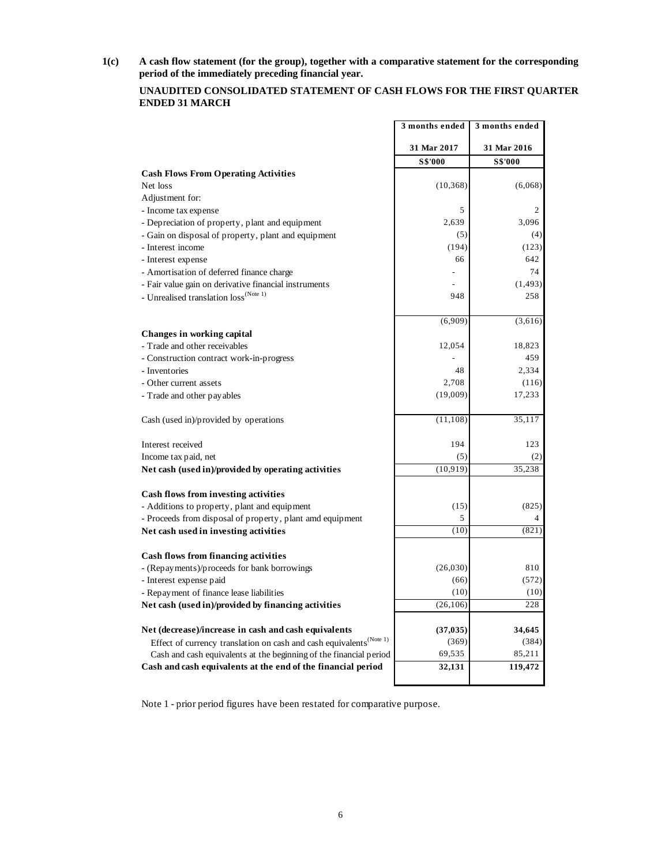**1(c) A cash flow statement (for the group), together with a comparative statement for the corresponding period of the immediately preceding financial year.** 

# **UNAUDITED CONSOLIDATED STATEMENT OF CASH FLOWS FOR THE FIRST QUARTER ENDED 31 MARCH**

|                                                                                 | 3 months ended | 3 months ended |
|---------------------------------------------------------------------------------|----------------|----------------|
|                                                                                 | 31 Mar 2017    | 31 Mar 2016    |
|                                                                                 | S\$'000        | <b>S\$'000</b> |
| <b>Cash Flows From Operating Activities</b>                                     |                |                |
| Net loss                                                                        | (10, 368)      | (6,068)        |
| Adjustment for:                                                                 |                |                |
| - Income tax expense                                                            | 5              | 2              |
| - Depreciation of property, plant and equipment                                 | 2,639          | 3,096          |
| - Gain on disposal of property, plant and equipment                             | (5)            | (4)            |
| - Interest income                                                               | (194)          | (123)          |
| - Interest expense                                                              | 66             | 642            |
| - Amortisation of deferred finance charge                                       |                | 74             |
| - Fair value gain on derivative financial instruments                           |                | (1, 493)       |
| - Unrealised translation $\mathrm{loss}^{(\mathrm{Note}\; 1)}$                  | 948            | 258            |
|                                                                                 | (6,909)        | (3,616)        |
| Changes in working capital                                                      |                |                |
| - Trade and other receivables                                                   | 12,054         | 18,823         |
| - Construction contract work-in-progress                                        |                | 459            |
| - Inventories                                                                   | 48             | 2,334          |
| - Other current assets                                                          | 2.708          | (116)          |
| - Trade and other payables                                                      | (19,009)       | 17,233         |
| Cash (used in)/provided by operations                                           | (11, 108)      | 35,117         |
| Interest received                                                               | 194            | 123            |
| Income tax paid, net                                                            | (5)            | (2)            |
| Net cash (used in)/provided by operating activities                             | (10, 919)      | 35,238         |
| Cash flows from investing activities                                            |                |                |
| - Additions to property, plant and equipment                                    | (15)           | (825)          |
| - Proceeds from disposal of property, plant amd equipment                       | 5              | 4              |
| Net cash used in investing activities                                           | (10)           | (821)          |
| <b>Cash flows from financing activities</b>                                     |                |                |
| - (Repayments)/proceeds for bank borrowings                                     | (26,030)       | 810            |
| - Interest expense paid                                                         | (66)           | (572)          |
| - Repayment of finance lease liabilities                                        | (10)           | (10)           |
| Net cash (used in)/provided by financing activities                             | (26, 106)      | 228            |
| Net (decrease)/increase in cash and cash equivalents                            | (37, 035)      | 34,645         |
| Effect of currency translation on cash and cash equivalents <sup>(Note 1)</sup> | (369)          | (384)          |
| Cash and cash equivalents at the beginning of the financial period              | 69,535         | 85,211         |
| Cash and cash equivalents at the end of the financial period                    | 32,131         | 119,472        |

Note 1 - prior period figures have been restated for comparative purpose.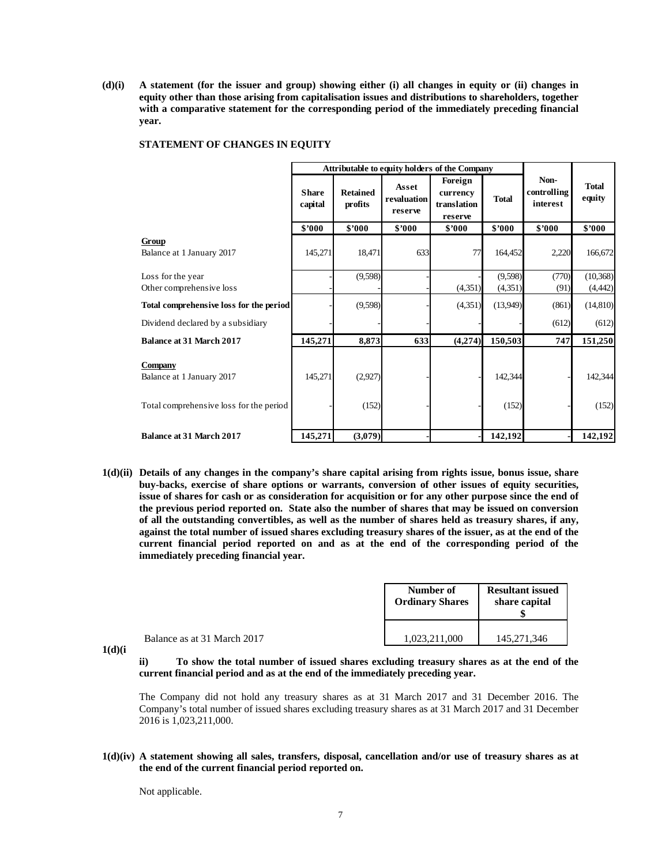**(d)(i) A statement (for the issuer and group) showing either (i) all changes in equity or (ii) changes in equity other than those arising from capitalisation issues and distributions to shareholders, together with a comparative statement for the corresponding period of the immediately preceding financial year.** 

|  | STATEMENT OF CHANGES IN EQUITY |
|--|--------------------------------|
|--|--------------------------------|

|                                                                                        | Attributable to equity holders of the Company |                            |                                 |                                               |                  |                                 |                        |
|----------------------------------------------------------------------------------------|-----------------------------------------------|----------------------------|---------------------------------|-----------------------------------------------|------------------|---------------------------------|------------------------|
|                                                                                        | <b>Share</b><br>capital                       | <b>Retained</b><br>profits | Asset<br>revaluation<br>reserve | Foreign<br>currency<br>translation<br>reserve | <b>Total</b>     | Non-<br>controlling<br>interest | <b>Total</b><br>equity |
|                                                                                        | \$2000                                        | \$2000                     | \$2000                          | \$2000                                        | \$'000           | \$7000                          | \$2000                 |
| Group<br>Balance at 1 January 2017                                                     | 145,271                                       | 18,471                     | 633                             | 77                                            | 164,452          | 2,220                           | 166,672                |
| Loss for the year                                                                      |                                               | (9,598)                    |                                 |                                               | (9,598)          | (770)                           | (10, 368)              |
| Other comprehensive loss                                                               |                                               |                            |                                 | (4,351)                                       | (4,351)          | (91)                            | (4, 442)               |
| Total comprehensive loss for the period                                                |                                               | (9,598)                    |                                 | (4, 351)                                      | (13,949)         | (861)                           | (14, 810)              |
| Dividend declared by a subsidiary                                                      |                                               |                            |                                 |                                               |                  | (612)                           | (612)                  |
| <b>Balance at 31 March 2017</b>                                                        | 145,271                                       | 8,873                      | 633                             | (4,274)                                       | 150,503          | 747                             | 151,250                |
| <b>Company</b><br>Balance at 1 January 2017<br>Total comprehensive loss for the period | 145,271                                       | (2,927)<br>(152)           |                                 |                                               | 142,344<br>(152) |                                 | 142,344<br>(152)       |
| Balance at 31 March 2017                                                               | 145,271                                       | (3,079)                    |                                 |                                               | 142,192          |                                 | 142,192                |

**1(d)(ii) Details of any changes in the company's share capital arising from rights issue, bonus issue, share buy-backs, exercise of share options or warrants, conversion of other issues of equity securities, issue of shares for cash or as consideration for acquisition or for any other purpose since the end of the previous period reported on. State also the number of shares that may be issued on conversion of all the outstanding convertibles, as well as the number of shares held as treasury shares, if any, against the total number of issued shares excluding treasury shares of the issuer, as at the end of the current financial period reported on and as at the end of the corresponding period of the immediately preceding financial year.** 

|                             | Number of<br><b>Ordinary Shares</b> | <b>Resultant issued</b><br>share capital |
|-----------------------------|-------------------------------------|------------------------------------------|
| Balance as at 31 March 2017 | 1,023,211,000                       | 145, 271, 346                            |

**1(d)(i**

**ii) To show the total number of issued shares excluding treasury shares as at the end of the current financial period and as at the end of the immediately preceding year.** 

 The Company did not hold any treasury shares as at 31 March 2017 and 31 December 2016. The Company's total number of issued shares excluding treasury shares as at 31 March 2017 and 31 December 2016 is 1,023,211,000.

**1(d)(iv) A statement showing all sales, transfers, disposal, cancellation and/or use of treasury shares as at the end of the current financial period reported on.** 

Not applicable.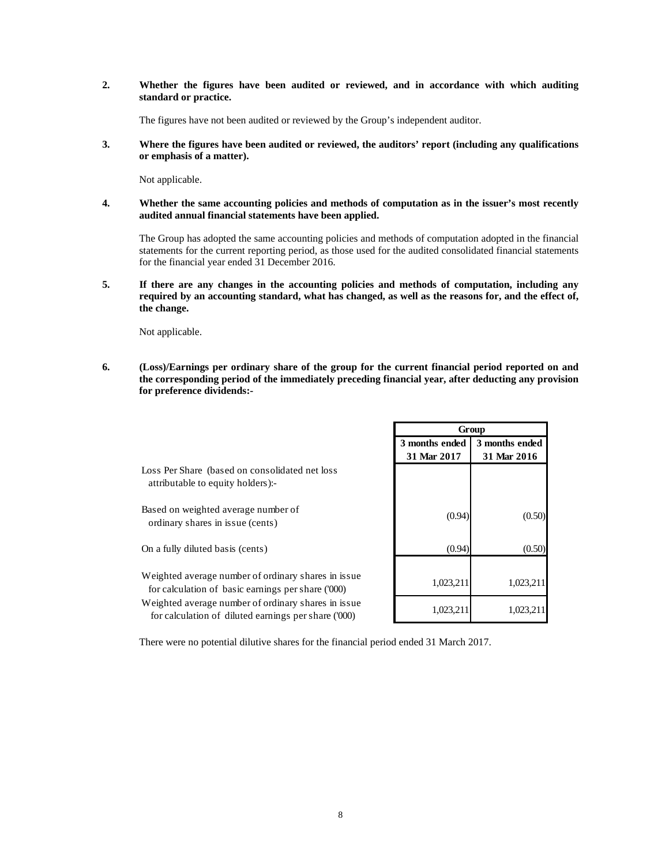### **2. Whether the figures have been audited or reviewed, and in accordance with which auditing standard or practice.**

The figures have not been audited or reviewed by the Group's independent auditor.

**3. Where the figures have been audited or reviewed, the auditors' report (including any qualifications or emphasis of a matter).** 

Not applicable.

**4. Whether the same accounting policies and methods of computation as in the issuer's most recently audited annual financial statements have been applied.** 

 The Group has adopted the same accounting policies and methods of computation adopted in the financial statements for the current reporting period, as those used for the audited consolidated financial statements for the financial year ended 31 December 2016.

**5. If there are any changes in the accounting policies and methods of computation, including any required by an accounting standard, what has changed, as well as the reasons for, and the effect of, the change.** 

Not applicable.

**6. (Loss)/Earnings per ordinary share of the group for the current financial period reported on and the corresponding period of the immediately preceding financial year, after deducting any provision for preference dividends:-** 

|                                                                                                              |                               | Group                         |
|--------------------------------------------------------------------------------------------------------------|-------------------------------|-------------------------------|
|                                                                                                              | 3 months ended<br>31 Mar 2017 | 3 months ended<br>31 Mar 2016 |
| Loss Per Share (based on consolidated net loss<br>attributable to equity holders):-                          |                               |                               |
| Based on weighted average number of<br>ordinary shares in issue (cents)                                      | (0.94)                        | (0.50)                        |
| On a fully diluted basis (cents)                                                                             | (0.94)                        | (0.50)                        |
| Weighted average number of ordinary shares in issue<br>for calculation of basic earnings per share ('000)    | 1,023,211                     | 1,023,211                     |
| Weighted average number of ordinary shares in issue.<br>for calculation of diluted earnings per share ('000) | 1,023,211                     | 1.023.211                     |

There were no potential dilutive shares for the financial period ended 31 March 2017.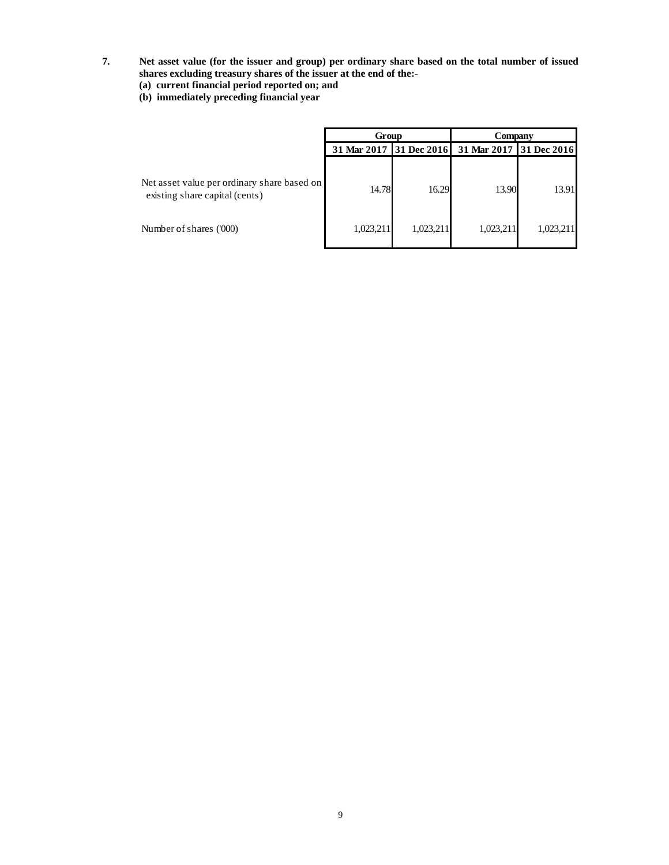- **7. Net asset value (for the issuer and group) per ordinary share based on the total number of issued shares excluding treasury shares of the issuer at the end of the:-** 
	- **(a) current financial period reported on; and**
	- **(b) immediately preceding financial year**

|                                                                               | Group     |           | Company                             |                    |  |
|-------------------------------------------------------------------------------|-----------|-----------|-------------------------------------|--------------------|--|
|                                                                               |           |           | 31 Mar 2017 31 Dec 2016 31 Mar 2017 | <b>31 Dec 2016</b> |  |
| Net asset value per ordinary share based on<br>existing share capital (cents) | 14.78     | 16.29     | 13.90                               | 13.91              |  |
| Number of shares ('000)                                                       | 1,023,211 | 1,023,211 | 1,023,211                           | 1,023,211          |  |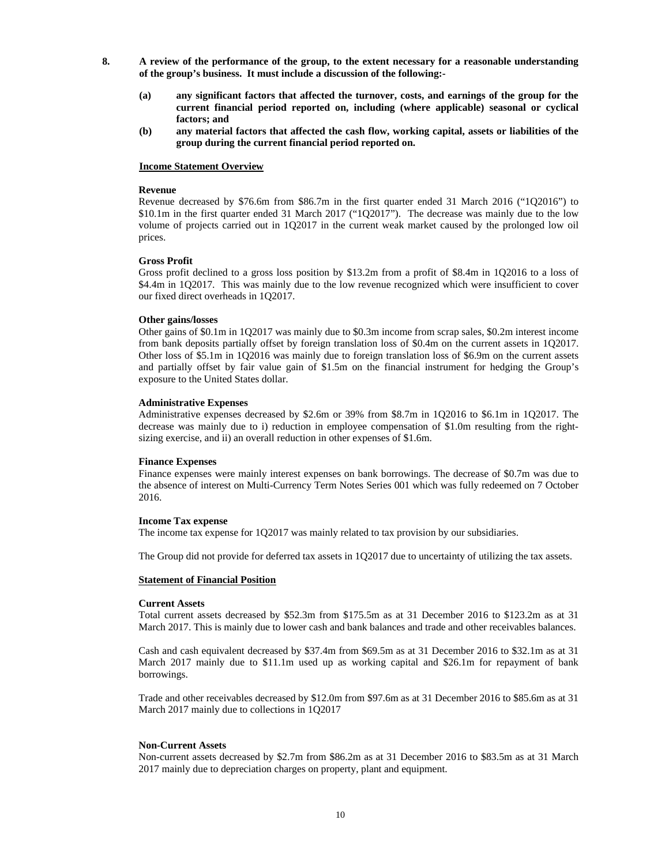- **8. A review of the performance of the group, to the extent necessary for a reasonable understanding of the group's business. It must include a discussion of the following:-** 
	- **(a) any significant factors that affected the turnover, costs, and earnings of the group for the current financial period reported on, including (where applicable) seasonal or cyclical factors; and**
	- **(b) any material factors that affected the cash flow, working capital, assets or liabilities of the group during the current financial period reported on.**

#### **Income Statement Overview**

#### **Revenue**

Revenue decreased by \$76.6m from \$86.7m in the first quarter ended 31 March 2016 ("1Q2016") to \$10.1m in the first quarter ended 31 March 2017 ("1Q2017"). The decrease was mainly due to the low volume of projects carried out in 1Q2017 in the current weak market caused by the prolonged low oil prices.

### **Gross Profit**

Gross profit declined to a gross loss position by \$13.2m from a profit of \$8.4m in 1Q2016 to a loss of \$4.4m in 1Q2017. This was mainly due to the low revenue recognized which were insufficient to cover our fixed direct overheads in 1Q2017.

#### **Other gains/losses**

Other gains of \$0.1m in 1Q2017 was mainly due to \$0.3m income from scrap sales, \$0.2m interest income from bank deposits partially offset by foreign translation loss of \$0.4m on the current assets in 1Q2017. Other loss of \$5.1m in 1Q2016 was mainly due to foreign translation loss of \$6.9m on the current assets and partially offset by fair value gain of \$1.5m on the financial instrument for hedging the Group's exposure to the United States dollar.

#### **Administrative Expenses**

Administrative expenses decreased by \$2.6m or 39% from \$8.7m in 1Q2016 to \$6.1m in 1Q2017. The decrease was mainly due to i) reduction in employee compensation of \$1.0m resulting from the rightsizing exercise, and ii) an overall reduction in other expenses of \$1.6m.

### **Finance Expenses**

Finance expenses were mainly interest expenses on bank borrowings. The decrease of \$0.7m was due to the absence of interest on Multi-Currency Term Notes Series 001 which was fully redeemed on 7 October 2016.

#### **Income Tax expense**

The income tax expense for 1Q2017 was mainly related to tax provision by our subsidiaries.

The Group did not provide for deferred tax assets in 1Q2017 due to uncertainty of utilizing the tax assets.

#### **Statement of Financial Position**

#### **Current Assets**

Total current assets decreased by \$52.3m from \$175.5m as at 31 December 2016 to \$123.2m as at 31 March 2017. This is mainly due to lower cash and bank balances and trade and other receivables balances.

Cash and cash equivalent decreased by \$37.4m from \$69.5m as at 31 December 2016 to \$32.1m as at 31 March 2017 mainly due to \$11.1m used up as working capital and \$26.1m for repayment of bank borrowings.

Trade and other receivables decreased by \$12.0m from \$97.6m as at 31 December 2016 to \$85.6m as at 31 March 2017 mainly due to collections in 1Q2017

### **Non-Current Assets**

Non-current assets decreased by \$2.7m from \$86.2m as at 31 December 2016 to \$83.5m as at 31 March 2017 mainly due to depreciation charges on property, plant and equipment.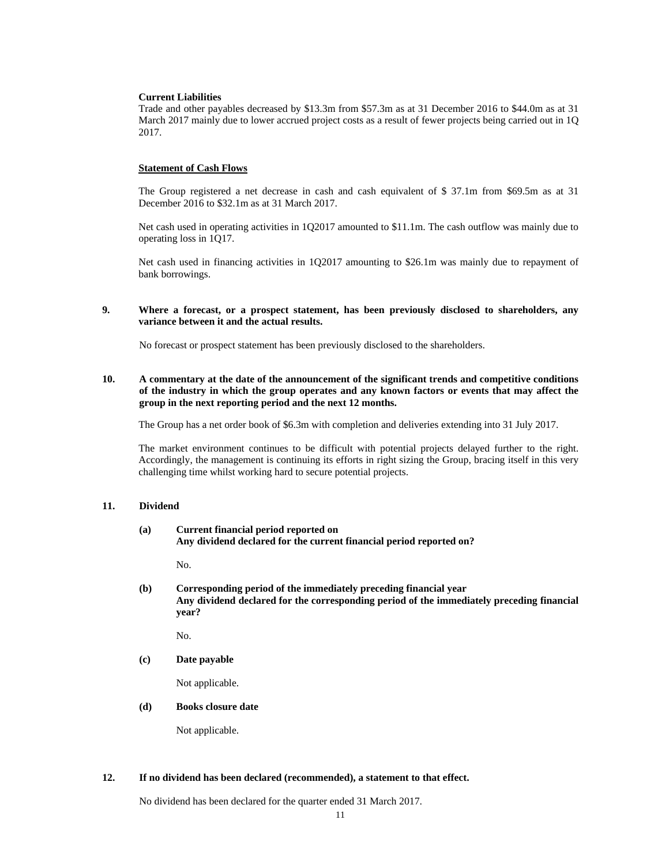#### **Current Liabilities**

Trade and other payables decreased by \$13.3m from \$57.3m as at 31 December 2016 to \$44.0m as at 31 March 2017 mainly due to lower accrued project costs as a result of fewer projects being carried out in 1Q 2017.

### **Statement of Cash Flows**

The Group registered a net decrease in cash and cash equivalent of \$ 37.1m from \$69.5m as at 31 December 2016 to \$32.1m as at 31 March 2017.

Net cash used in operating activities in 1Q2017 amounted to \$11.1m. The cash outflow was mainly due to operating loss in 1Q17.

Net cash used in financing activities in 1Q2017 amounting to \$26.1m was mainly due to repayment of bank borrowings.

### **9. Where a forecast, or a prospect statement, has been previously disclosed to shareholders, any variance between it and the actual results.**

No forecast or prospect statement has been previously disclosed to the shareholders.

### **10. A commentary at the date of the announcement of the significant trends and competitive conditions of the industry in which the group operates and any known factors or events that may affect the group in the next reporting period and the next 12 months.**

The Group has a net order book of \$6.3m with completion and deliveries extending into 31 July 2017.

The market environment continues to be difficult with potential projects delayed further to the right. Accordingly, the management is continuing its efforts in right sizing the Group, bracing itself in this very challenging time whilst working hard to secure potential projects.

### **11. Dividend**

### **(a) Current financial period reported on Any dividend declared for the current financial period reported on?**

No.

**(b) Corresponding period of the immediately preceding financial year Any dividend declared for the corresponding period of the immediately preceding financial year?** 

No.

 **(c) Date payable** 

Not applicable.

**(d) Books closure date** 

Not applicable.

### **12. If no dividend has been declared (recommended), a statement to that effect.**

No dividend has been declared for the quarter ended 31 March 2017.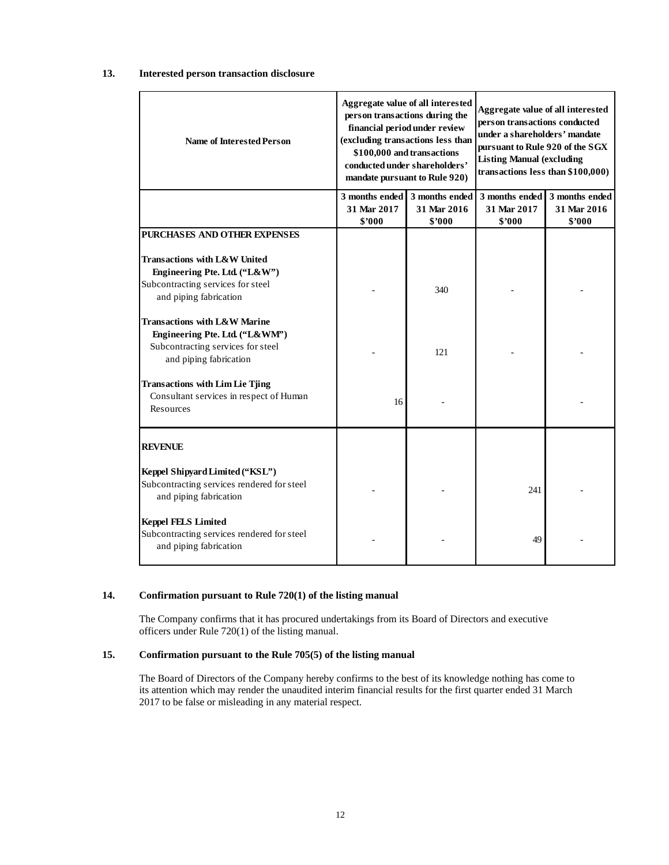## **13. Interested person transaction disclosure**

| <b>Name of Interested Person</b>                                                                                                                                                   |                       | Aggregate value of all interested<br>person transactions during the<br>financial period under review<br>(excluding transactions less than<br>\$100,000 and transactions<br>conducted under shareholders'<br>mandate pursuant to Rule 920) | Aggregate value of all interested<br>person transactions conducted<br>under a shareholders' mandate<br>pursuant to Rule 920 of the SGX<br><b>Listing Manual (excluding</b><br>transactions less than \$100,000) |                       |  |
|------------------------------------------------------------------------------------------------------------------------------------------------------------------------------------|-----------------------|-------------------------------------------------------------------------------------------------------------------------------------------------------------------------------------------------------------------------------------------|-----------------------------------------------------------------------------------------------------------------------------------------------------------------------------------------------------------------|-----------------------|--|
|                                                                                                                                                                                    | 3 months ended        | 3 months ended                                                                                                                                                                                                                            | 3 months ended                                                                                                                                                                                                  | 3 months ended        |  |
|                                                                                                                                                                                    | 31 Mar 2017<br>\$7000 | 31 Mar 2016<br>\$2000                                                                                                                                                                                                                     | 31 Mar 2017<br>\$'000                                                                                                                                                                                           | 31 Mar 2016<br>\$2000 |  |
| PURCHASES AND OTHER EXPENSES                                                                                                                                                       |                       |                                                                                                                                                                                                                                           |                                                                                                                                                                                                                 |                       |  |
| <b>Transactions with L&amp;W United</b><br>Engineering Pte. Ltd. ("L&W")<br>Subcontracting services for steel<br>and piping fabrication<br><b>Transactions with L&amp;W Marine</b> |                       | 340                                                                                                                                                                                                                                       |                                                                                                                                                                                                                 |                       |  |
| Engineering Pte. Ltd. ("L&WM")<br>Subcontracting services for steel<br>and piping fabrication                                                                                      |                       | 121                                                                                                                                                                                                                                       |                                                                                                                                                                                                                 |                       |  |
| <b>Transactions with Lim Lie Tjing</b><br>Consultant services in respect of Human<br>Resources                                                                                     | 16                    |                                                                                                                                                                                                                                           |                                                                                                                                                                                                                 |                       |  |
| <b>REVENUE</b>                                                                                                                                                                     |                       |                                                                                                                                                                                                                                           |                                                                                                                                                                                                                 |                       |  |
| Keppel Shipyard Limited ("KSL")<br>Subcontracting services rendered for steel<br>and piping fabrication                                                                            |                       |                                                                                                                                                                                                                                           | 241                                                                                                                                                                                                             |                       |  |
| <b>Keppel FELS Limited</b><br>Subcontracting services rendered for steel<br>and piping fabrication                                                                                 |                       |                                                                                                                                                                                                                                           | 49                                                                                                                                                                                                              |                       |  |

# **14. Confirmation pursuant to Rule 720(1) of the listing manual**

The Company confirms that it has procured undertakings from its Board of Directors and executive officers under Rule 720(1) of the listing manual.

### **15. Confirmation pursuant to the Rule 705(5) of the listing manual**

The Board of Directors of the Company hereby confirms to the best of its knowledge nothing has come to its attention which may render the unaudited interim financial results for the first quarter ended 31 March 2017 to be false or misleading in any material respect.